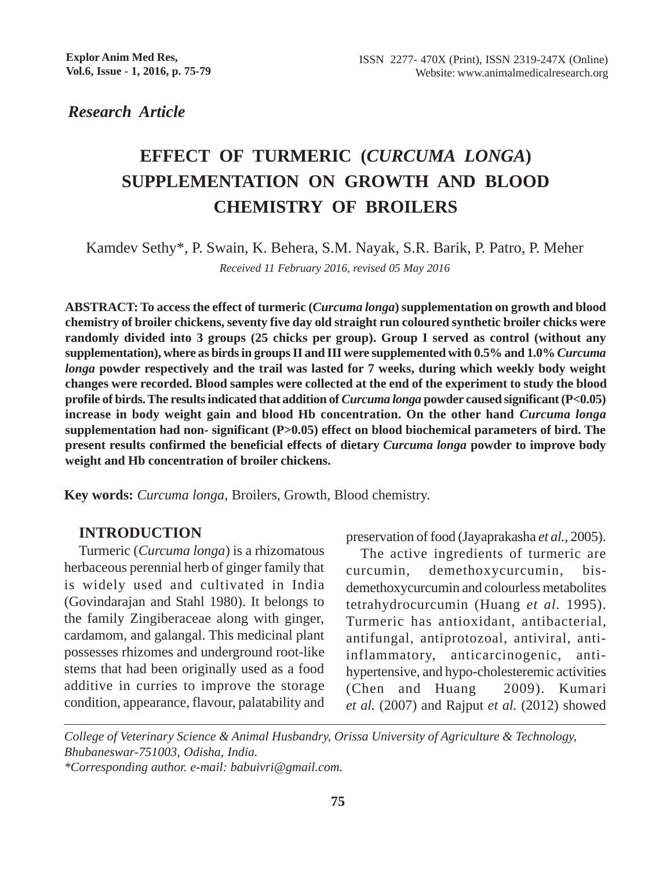*Research Article*

# **EFFECT OF TURMERIC (***CURCUMA LONGA***) SUPPLEMENTATION ON GROWTH AND BLOOD CHEMISTRY OF BROILERS**

Kamdev Sethy\*, P. Swain, K. Behera, S.M. Nayak, S.R. Barik, P. Patro, P. Meher

*Received 11 February 2016, revised 05 May 2016*

**ABSTRACT: To access the effect of turmeric (***Curcuma longa***) supplementation on growth and blood chemistry of broiler chickens, seventy five day old straight run coloured synthetic broiler chicks were randomly divided into 3 groups (25 chicks per group). Group I served as control (without any supplementation), where as birds in groups II and III were supplemented with 0.5% and 1.0%** *Curcuma longa* **powder respectively and the trail was lasted for 7 weeks, during which weekly body weight changes were recorded. Blood samples were collected at the end of the experiment to study the blood profile of birds. The results indicated that addition of** *Curcuma longa* **powder caused significant (P<0.05) increase in body weight gain and blood Hb concentration. On the other hand** *Curcuma longa* **supplementation had non- significant (P>0.05) effect on blood biochemical parameters of bird. The present results confirmed the beneficial effects of dietary** *Curcuma longa* **powder to improve body weight and Hb concentration of broiler chickens.**

**Key words:** *Curcuma longa,* Broilers, Growth, Blood chemistry.

# **INTRODUCTION**

Turmeric (*Curcuma longa*) is a rhizomatous herbaceous perennial herb of ginger family that is widely used and cultivated in India (Govindarajan and Stahl 1980). It belongs to the family Zingiberaceae along with ginger, cardamom, and galangal. This medicinal plant possesses rhizomes and underground root-like stems that had been originally used as a food additive in curries to improve the storage condition, appearance, flavour, palatability and

preservation of food (Jayaprakasha *et al.,* 2005).

The active ingredients of turmeric are curcumin, demethoxycurcumin, bisdemethoxycurcumin and colourless metabolites tetrahydrocurcumin (Huang *et al.* 1995). Turmeric has antioxidant, antibacterial, antifungal, antiprotozoal, antiviral, antiinflammatory, anticarcinogenic, antihypertensive, and hypo-cholesteremic activities (Chen and Huang 2009). Kumari *et al.* (2007) and Rajput *et al.* (2012) showed

*College of Veterinary Science & Animal Husbandry, Orissa University of Agriculture & Technology, Bhubaneswar-751003, Odisha, India.*

*\*Corresponding author. e-mail: babuivri@gmail.com.*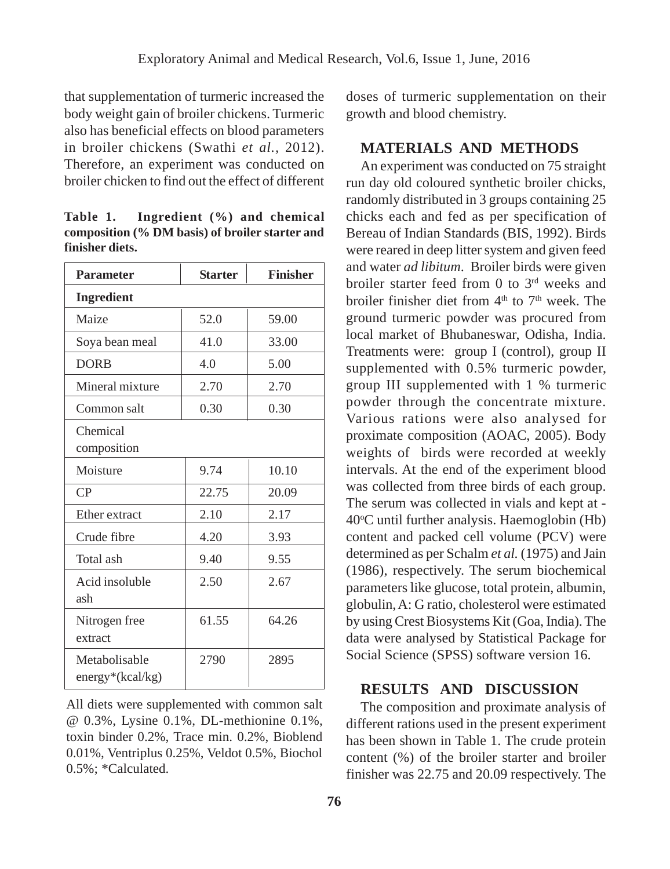that supplementation of turmeric increased the body weight gain of broiler chickens. Turmeric also has beneficial effects on blood parameters in broiler chickens (Swathi *et al.,* 2012). Therefore, an experiment was conducted on broiler chicken to find out the effect of different

**Table 1. Ingredient (%) and chemical composition (% DM basis) of broiler starter and finisher diets.**

| <b>Parameter</b>                  | <b>Starter</b> | <b>Finisher</b> |  |  |  |
|-----------------------------------|----------------|-----------------|--|--|--|
| <b>Ingredient</b>                 |                |                 |  |  |  |
| Maize                             | 52.0           | 59.00           |  |  |  |
| Soya bean meal                    | 41.0           | 33.00           |  |  |  |
| <b>DORB</b>                       | 4.0            | 5.00            |  |  |  |
| Mineral mixture                   | 2.70           | 2.70            |  |  |  |
| Common salt                       | 0.30           | 0.30            |  |  |  |
| Chemical<br>composition           |                |                 |  |  |  |
| Moisture                          | 9.74           | 10.10           |  |  |  |
| CP                                | 22.75          | 20.09           |  |  |  |
| Ether extract                     | 2.10           | 2.17            |  |  |  |
| Crude fibre                       | 4.20           | 3.93            |  |  |  |
| Total ash                         | 9.40           | 9.55            |  |  |  |
| Acid insoluble<br>ash             | 2.50           | 2.67            |  |  |  |
| Nitrogen free<br>extract          | 61.55          | 64.26           |  |  |  |
| Metabolisable<br>energy*(kcal/kg) | 2790           | 2895            |  |  |  |

All diets were supplemented with common salt @ 0.3%, Lysine 0.1%, DL-methionine 0.1%, toxin binder 0.2%, Trace min. 0.2%, Bioblend 0.01%, Ventriplus 0.25%, Veldot 0.5%, Biochol 0.5%; \*Calculated.

doses of turmeric supplementation on their growth and blood chemistry.

## **MATERIALS AND METHODS**

An experiment was conducted on 75 straight run day old coloured synthetic broiler chicks, randomly distributed in 3 groups containing 25 chicks each and fed as per specification of Bereau of Indian Standards (BIS, 1992). Birds were reared in deep litter system and given feed and water *ad libitum*. Broiler birds were given broiler starter feed from 0 to 3rd weeks and broiler finisher diet from 4<sup>th</sup> to 7<sup>th</sup> week. The ground turmeric powder was procured from local market of Bhubaneswar, Odisha, India. Treatments were: group I (control), group II supplemented with 0.5% turmeric powder, group III supplemented with 1 % turmeric powder through the concentrate mixture. Various rations were also analysed for proximate composition (AOAC, 2005). Body weights of birds were recorded at weekly intervals. At the end of the experiment blood was collected from three birds of each group. The serum was collected in vials and kept at - 40°C until further analysis. Haemoglobin (Hb) content and packed cell volume (PCV) were determined as per Schalm *et al.* (1975) and Jain (1986), respectively. The serum biochemical parameters like glucose, total protein, albumin, globulin, A: G ratio, cholesterol were estimated by using Crest Biosystems Kit (Goa, India). The data were analysed by Statistical Package for Social Science (SPSS) software version 16.

# **RESULTS AND DISCUSSION**

The composition and proximate analysis of different rations used in the present experiment has been shown in Table 1. The crude protein content (%) of the broiler starter and broiler finisher was 22.75 and 20.09 respectively. The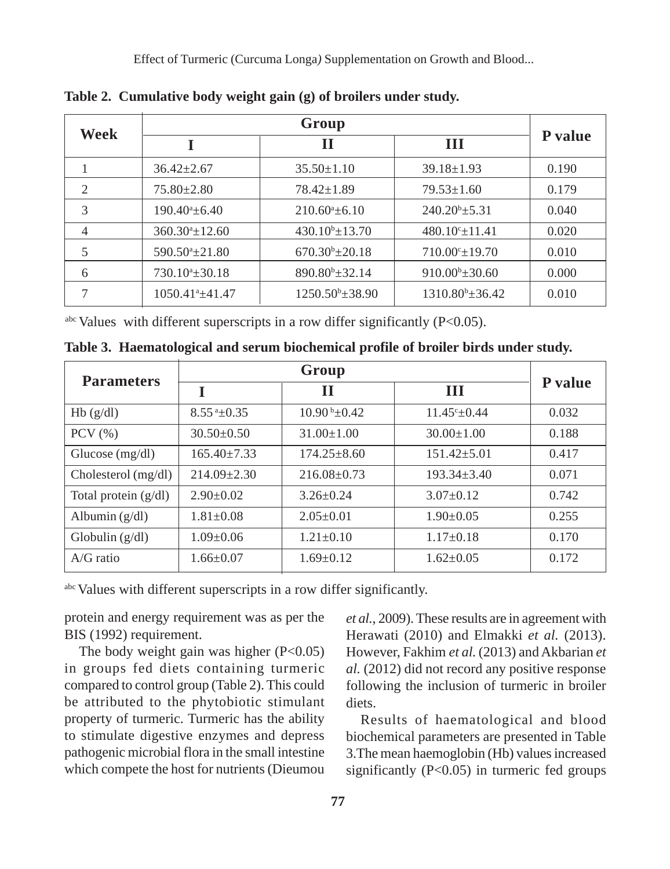Effect of Turmeric (Curcuma Longa*)* Supplementation on Growth and Blood...

| Week           | Group                   |                          |                            |         |
|----------------|-------------------------|--------------------------|----------------------------|---------|
|                |                         | П                        | III                        | P value |
|                | $36.42 \pm 2.67$        | $35.50 \pm 1.10$         | $39.18 \pm 1.93$           | 0.190   |
| 2              | $75.80 \pm 2.80$        | $78.42 \pm 1.89$         | $79.53 \pm 1.60$           | 0.179   |
| 3              | $190.40^{\circ}$ = 6.40 | $210.60^{\circ}$ +6.10   | $240.20^b \pm 5.31$        | 0.040   |
| $\overline{4}$ | $360.30^a \pm 12.60$    | $430.10^{b} \pm 13.70$   | $480.10^{\circ} \pm 11.41$ | 0.020   |
| 5              | $590.50^{\circ}$ ±21.80 | $670.30^b \pm 20.18$     | $710.00^{\circ}$ ±19.70    | 0.010   |
| 6              | $730.10^{\circ}$ ±30.18 | $890.80^{\circ}$ ±32.14  | $910.00^{\circ}$ ±30.60    | 0.000   |
|                | $1050.41^{a} + 41.47$   | $1250.50^{\circ}$ ±38.90 | $1310.80^{\circ}$ ±36.42   | 0.010   |

**Table 2. Cumulative body weight gain (g) of broilers under study.**

abc Values with different superscripts in a row differ significantly  $(P<0.05)$ .

| <b>Parameters</b>      | Group                      |                   |                        |         |
|------------------------|----------------------------|-------------------|------------------------|---------|
|                        |                            | Н                 | Ш                      | P value |
| Hb(g/dl)               | $8.55^{\text{a}} \pm 0.35$ | $10.90b + 0.42$   | $11.45^{\circ}$ ± 0.44 | 0.032   |
| $PCV$ $(\% )$          | $30.50+0.50$               | $31.00 \pm 1.00$  | $30.00 \pm 1.00$       | 0.188   |
| Glucose $(mg/dl)$      | $165.40\pm7.33$            | $174.25 + 8.60$   | $151.42 \pm 5.01$      | 0.417   |
| Cholesterol (mg/dl)    | $214.09 \pm 2.30$          | $216.08 \pm 0.73$ | $193.34 \pm 3.40$      | 0.071   |
| Total protein $(g/dl)$ | $2.90 \pm 0.02$            | $3.26 \pm 0.24$   | $3.07+0.12$            | 0.742   |
| Albumin $(g/dl)$       | $1.81 \pm 0.08$            | $2.05 \pm 0.01$   | $1.90 \pm 0.05$        | 0.255   |
| Globulin $(g/dl)$      | $1.09 \pm 0.06$            | $1.21 \pm 0.10$   | $1.17 \pm 0.18$        | 0.170   |
| $A/G$ ratio            | $1.66 \pm 0.07$            | $1.69 \pm 0.12$   | $1.62 \pm 0.05$        | 0.172   |

**Table 3. Haematological and serum biochemical profile of broiler birds under study.**

abc Values with different superscripts in a row differ significantly.

protein and energy requirement was as per the BIS (1992) requirement.

The body weight gain was higher  $(P<0.05)$ in groups fed diets containing turmeric compared to control group (Table 2). This could be attributed to the phytobiotic stimulant property of turmeric. Turmeric has the ability to stimulate digestive enzymes and depress pathogenic microbial flora in the small intestine which compete the host for nutrients (Dieumou

*et al.*, 2009). These results are in agreement with Herawati (2010) and Elmakki *et al.* (2013). However, Fakhim *et al.* (2013) and Akbarian *et al.* (2012) did not record any positive response following the inclusion of turmeric in broiler diets.

Results of haematological and blood biochemical parameters are presented in Table 3.The mean haemoglobin (Hb) values increased significantly  $(P<0.05)$  in turmeric fed groups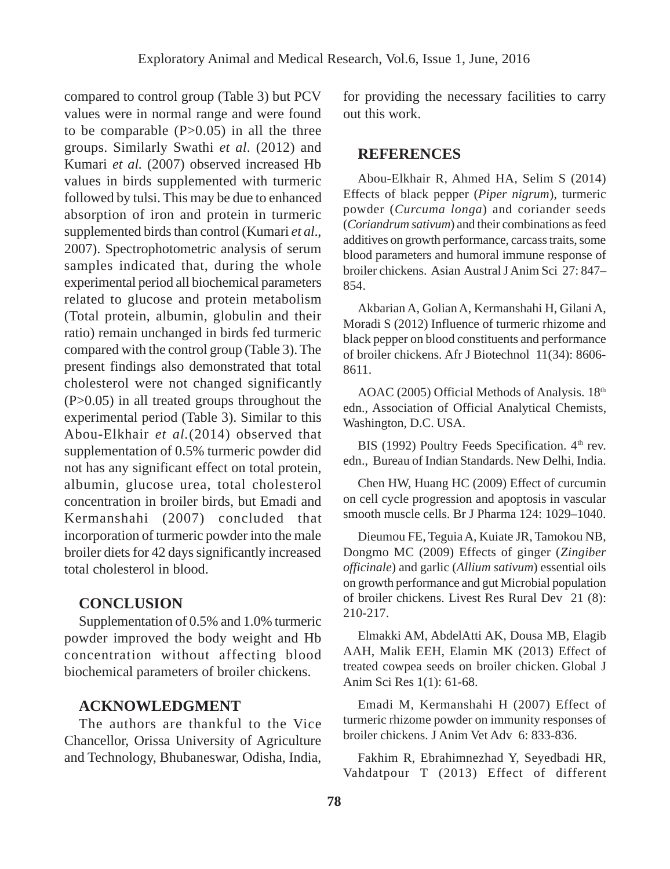compared to control group (Table 3) but PCV values were in normal range and were found to be comparable  $(P>0.05)$  in all the three groups. Similarly Swathi *et al*. (2012) and Kumari *et al.* (2007) observed increased Hb values in birds supplemented with turmeric followed by tulsi. This may be due to enhanced absorption of iron and protein in turmeric supplemented birds than control (Kumari *et al*., 2007). Spectrophotometric analysis of serum samples indicated that, during the whole experimental period all biochemical parameters related to glucose and protein metabolism (Total protein, albumin, globulin and their ratio) remain unchanged in birds fed turmeric compared with the control group (Table 3). The present findings also demonstrated that total cholesterol were not changed significantly (P>0.05) in all treated groups throughout the experimental period (Table 3). Similar to this Abou-Elkhair *et al.*(2014) observed that supplementation of 0.5% turmeric powder did not has any significant effect on total protein, albumin, glucose urea, total cholesterol concentration in broiler birds, but Emadi and Kermanshahi (2007) concluded that incorporation of turmeric powder into the male broiler diets for 42 days significantly increased total cholesterol in blood.

### **CONCLUSION**

Supplementation of 0.5% and 1.0% turmeric powder improved the body weight and Hb concentration without affecting blood biochemical parameters of broiler chickens.

#### **ACKNOWLEDGMENT**

The authors are thankful to the Vice Chancellor, Orissa University of Agriculture and Technology, Bhubaneswar, Odisha, India,

for providing the necessary facilities to carry out this work.

### **REFERENCES**

Abou-Elkhair R, Ahmed HA, Selim S (2014) Effects of black pepper (*Piper nigrum*), turmeric powder (*Curcuma longa*) and coriander seeds (*Coriandrum sativum*) and their combinations as feed additives on growth performance, carcass traits, some blood parameters and humoral immune response of broiler chickens. Asian Austral J Anim Sci 27: 847– 854.

Akbarian A, Golian A, Kermanshahi H, Gilani A, Moradi S (2012) Influence of turmeric rhizome and black pepper on blood constituents and performance of broiler chickens. Afr J Biotechnol 11(34): 8606- 8611.

AOAC (2005) Official Methods of Analysis. 18th edn., Association of Official Analytical Chemists, Washington, D.C. USA.

BIS (1992) Poultry Feeds Specification.  $4<sup>th</sup>$  rev. edn., Bureau of Indian Standards. New Delhi, India.

Chen HW, Huang HC (2009) Effect of curcumin on cell cycle progression and apoptosis in vascular smooth muscle cells. Br J Pharma 124: 1029–1040.

Dieumou FE, Teguia A, Kuiate JR, Tamokou NB, Dongmo MC (2009) Effects of ginger (*Zingiber officinale*) and garlic (*Allium sativum*) essential oils on growth performance and gut Microbial population of broiler chickens. Livest Res Rural Dev 21 (8): 210-217.

Elmakki AM, AbdelAtti AK, Dousa MB, Elagib AAH, Malik EEH, Elamin MK (2013) Effect of treated cowpea seeds on broiler chicken. Global J Anim Sci Res 1(1): 61-68.

Emadi M, Kermanshahi H (2007) Effect of turmeric rhizome powder on immunity responses of broiler chickens. J Anim Vet Adv 6: 833-836.

Fakhim R, Ebrahimnezhad Y, Seyedbadi HR, Vahdatpour T (2013) Effect of different